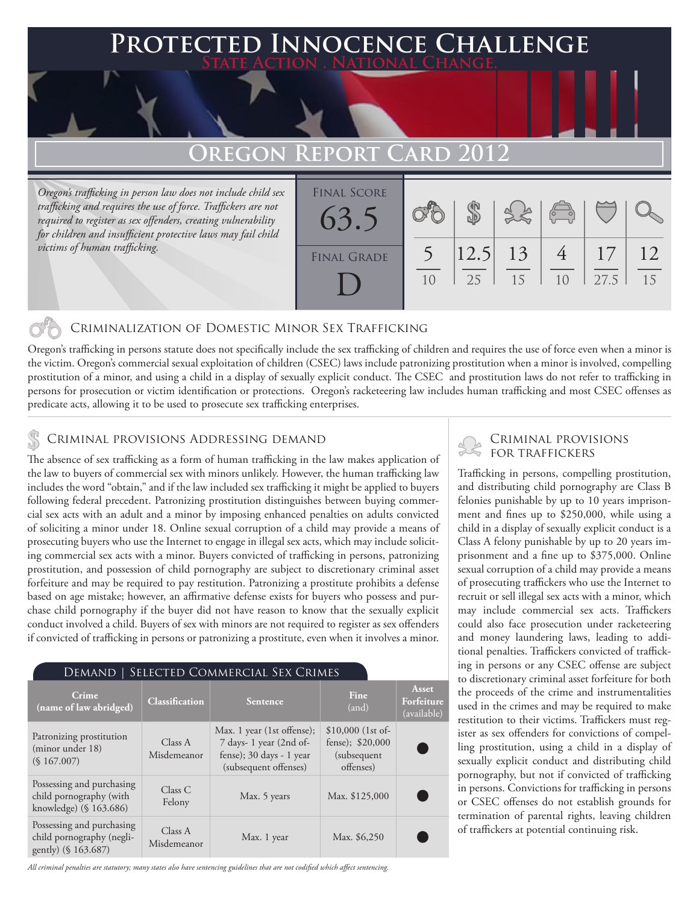### **FED INNOCENCE CHALLENGE State Action . National Change.**

## **OREGON REPORT**

*Oregon's trafficking in person law does not include child sex trafficking and requires the use of force. Traffickers are not required to register as sex offenders, creating vulnerability for children and insufficient protective laws may fail child victims of human trafficking.*

| <b>FINAL SCORE</b><br>63.5 |    |                   |    | $\left(\begin{matrix} 0 & 0 \\ 0 & 0 \end{matrix}\right)$ |            |          |
|----------------------------|----|-------------------|----|-----------------------------------------------------------|------------|----------|
| <b>FINAL GRADE</b>         | 10 | $ 12.5 $ 13<br>25 | 15 | 1 <sub>0</sub>                                            | 17<br>27.5 | 12<br>15 |

#### Criminalization of Domestic Minor Sex Trafficking

Oregon's trafficking in persons statute does not specifically include the sex trafficking of children and requires the use of force even when a minor is the victim. Oregon's commercial sexual exploitation of children (CSEC) laws include patronizing prostitution when a minor is involved, compelling prostitution of a minor, and using a child in a display of sexually explicit conduct. The CSEC and prostitution laws do not refer to trafficking in persons for prosecution or victim identification or protections. Oregon's racketeering law includes human trafficking and most CSEC offenses as predicate acts, allowing it to be used to prosecute sex trafficking enterprises.

## CRIMINAL PROVISIONS ADDRESSING DEMAND<br>  $\begin{array}{ccc}\n & \circ & \circ & \circ & \circ \\
\hline\n\vdots & \vdots & \vdots & \vdots & \vdots \\
\hline\n\end{array}$  CRIMINAL PROVIS

The absence of sex trafficking as a form of human trafficking in the law makes application of the law to buyers of commercial sex with minors unlikely. However, the human trafficking law includes the word "obtain," and if the law included sex trafficking it might be applied to buyers following federal precedent. Patronizing prostitution distinguishes between buying commercial sex acts with an adult and a minor by imposing enhanced penalties on adults convicted of soliciting a minor under 18. Online sexual corruption of a child may provide a means of prosecuting buyers who use the Internet to engage in illegal sex acts, which may include soliciting commercial sex acts with a minor. Buyers convicted of trafficking in persons, patronizing prostitution, and possession of child pornography are subject to discretionary criminal asset forfeiture and may be required to pay restitution. Patronizing a prostitute prohibits a defense based on age mistake; however, an affirmative defense exists for buyers who possess and purchase child pornography if the buyer did not have reason to know that the sexually explicit conduct involved a child. Buyers of sex with minors are not required to register as sex offenders if convicted of trafficking in persons or patronizing a prostitute, even when it involves a minor.

#### Demand | Selected Commercial Sex Crimes

| Crime<br>(name of law abridged)                                                | <b>Classification</b>  | Sentence                                                                                                  | Fine<br>(and)                                                       | Asset<br>Forfeiture<br>(available) |
|--------------------------------------------------------------------------------|------------------------|-----------------------------------------------------------------------------------------------------------|---------------------------------------------------------------------|------------------------------------|
| Patronizing prostitution<br>(minor under 18)<br>(S167.007)                     | Class A<br>Misdemeanor | Max. 1 year (1st offense);<br>7 days-1 year (2nd of-<br>fense); 30 days - 1 year<br>(subsequent offenses) | $$10,000$ (1st of-<br>fense); \$20,000<br>(subsequent)<br>offenses) |                                    |
| Possessing and purchasing<br>child pornography (with<br>knowledge) (§ 163.686) | Class C<br>Felony      | Max. 5 years                                                                                              | Max. \$125,000                                                      |                                    |
| Possessing and purchasing<br>child pornography (negli-<br>gently) (§ 163.687)  | Class A<br>Misdemeanor | Max. 1 year                                                                                               | Max. \$6,250                                                        |                                    |

*All criminal penalties are statutory; many states also have sentencing guidelines that are not codified which affect sentencing.* 

# Criminal provisions

Trafficking in persons, compelling prostitution, and distributing child pornography are Class B felonies punishable by up to 10 years imprisonment and fines up to \$250,000, while using a child in a display of sexually explicit conduct is a Class A felony punishable by up to 20 years imprisonment and a fine up to \$375,000. Online sexual corruption of a child may provide a means of prosecuting traffickers who use the Internet to recruit or sell illegal sex acts with a minor, which may include commercial sex acts. Traffickers could also face prosecution under racketeering and money laundering laws, leading to additional penalties. Traffickers convicted of trafficking in persons or any CSEC offense are subject to discretionary criminal asset forfeiture for both the proceeds of the crime and instrumentalities used in the crimes and may be required to make restitution to their victims. Traffickers must register as sex offenders for convictions of compelling prostitution, using a child in a display of sexually explicit conduct and distributing child pornography, but not if convicted of trafficking in persons. Convictions for trafficking in persons or CSEC offenses do not establish grounds for termination of parental rights, leaving children of traffickers at potential continuing risk.